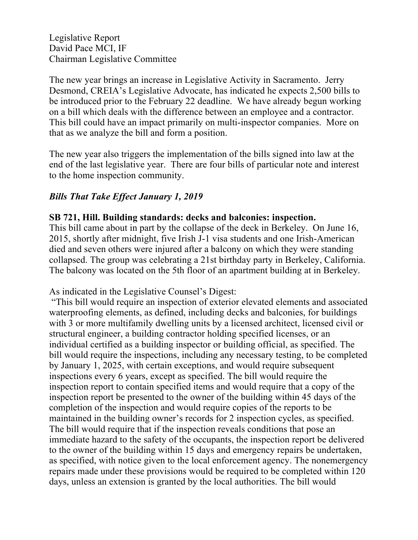Legislative Report David Pace MCI, IF Chairman Legislative Committee

The new year brings an increase in Legislative Activity in Sacramento. Jerry Desmond, CREIA's Legislative Advocate, has indicated he expects 2,500 bills to be introduced prior to the February 22 deadline. We have already begun working on a bill which deals with the difference between an employee and a contractor. This bill could have an impact primarily on multi-inspector companies. More on that as we analyze the bill and form a position.

The new year also triggers the implementation of the bills signed into law at the end of the last legislative year. There are four bills of particular note and interest to the home inspection community.

### *Bills That Take Effect January 1, 2019*

#### **SB 721, Hill. Building standards: decks and balconies: inspection.**

This bill came about in part by the collapse of the deck in Berkeley. On June 16, 2015, shortly after midnight, five Irish J-1 visa students and one Irish-American died and seven others were injured after a balcony on which they were standing collapsed. The group was celebrating a 21st birthday party in Berkeley, California. The balcony was located on the 5th floor of an apartment building at in Berkeley.

As indicated in the Legislative Counsel's Digest:

"This bill would require an inspection of exterior elevated elements and associated waterproofing elements, as defined, including decks and balconies, for buildings with 3 or more multifamily dwelling units by a licensed architect, licensed civil or structural engineer, a building contractor holding specified licenses, or an individual certified as a building inspector or building official, as specified. The bill would require the inspections, including any necessary testing, to be completed by January 1, 2025, with certain exceptions, and would require subsequent inspections every 6 years, except as specified. The bill would require the inspection report to contain specified items and would require that a copy of the inspection report be presented to the owner of the building within 45 days of the completion of the inspection and would require copies of the reports to be maintained in the building owner's records for 2 inspection cycles, as specified. The bill would require that if the inspection reveals conditions that pose an immediate hazard to the safety of the occupants, the inspection report be delivered to the owner of the building within 15 days and emergency repairs be undertaken, as specified, with notice given to the local enforcement agency. The nonemergency repairs made under these provisions would be required to be completed within 120 days, unless an extension is granted by the local authorities. The bill would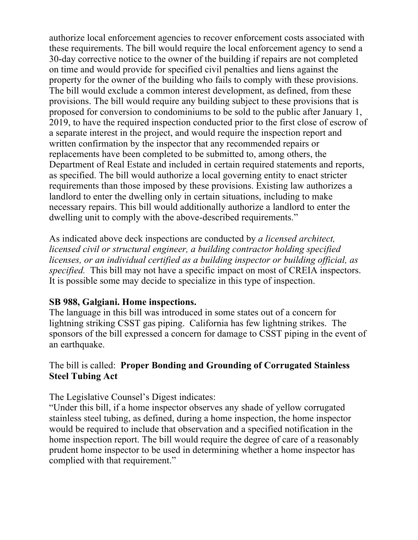authorize local enforcement agencies to recover enforcement costs associated with these requirements. The bill would require the local enforcement agency to send a 30-day corrective notice to the owner of the building if repairs are not completed on time and would provide for specified civil penalties and liens against the property for the owner of the building who fails to comply with these provisions. The bill would exclude a common interest development, as defined, from these provisions. The bill would require any building subject to these provisions that is proposed for conversion to condominiums to be sold to the public after January 1, 2019, to have the required inspection conducted prior to the first close of escrow of a separate interest in the project, and would require the inspection report and written confirmation by the inspector that any recommended repairs or replacements have been completed to be submitted to, among others, the Department of Real Estate and included in certain required statements and reports, as specified. The bill would authorize a local governing entity to enact stricter requirements than those imposed by these provisions. Existing law authorizes a landlord to enter the dwelling only in certain situations, including to make necessary repairs. This bill would additionally authorize a landlord to enter the dwelling unit to comply with the above-described requirements."

As indicated above deck inspections are conducted by *a licensed architect, licensed civil or structural engineer, a building contractor holding specified licenses, or an individual certified as a building inspector or building official, as specified.* This bill may not have a specific impact on most of CREIA inspectors. It is possible some may decide to specialize in this type of inspection.

#### **SB 988, Galgiani. Home inspections.**

The language in this bill was introduced in some states out of a concern for lightning striking CSST gas piping. California has few lightning strikes. The sponsors of the bill expressed a concern for damage to CSST piping in the event of an earthquake.

### The bill is called: **Proper Bonding and Grounding of Corrugated Stainless Steel Tubing Act**

The Legislative Counsel's Digest indicates:

"Under this bill, if a home inspector observes any shade of yellow corrugated stainless steel tubing, as defined, during a home inspection, the home inspector would be required to include that observation and a specified notification in the home inspection report. The bill would require the degree of care of a reasonably prudent home inspector to be used in determining whether a home inspector has complied with that requirement."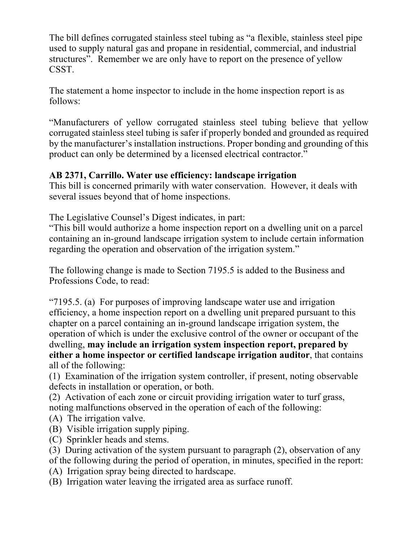The bill defines corrugated stainless steel tubing as "a flexible, stainless steel pipe used to supply natural gas and propane in residential, commercial, and industrial structures". Remember we are only have to report on the presence of yellow CSST.

The statement a home inspector to include in the home inspection report is as follows:

"Manufacturers of yellow corrugated stainless steel tubing believe that yellow corrugated stainless steel tubing is safer if properly bonded and grounded as required by the manufacturer's installation instructions. Proper bonding and grounding of this product can only be determined by a licensed electrical contractor."

## **AB 2371, Carrillo. Water use efficiency: landscape irrigation**

This bill is concerned primarily with water conservation. However, it deals with several issues beyond that of home inspections.

The Legislative Counsel's Digest indicates, in part:

"This bill would authorize a home inspection report on a dwelling unit on a parcel containing an in-ground landscape irrigation system to include certain information regarding the operation and observation of the irrigation system."

The following change is made to Section 7195.5 is added to the Business and Professions Code, to read:

"7195.5. (a) For purposes of improving landscape water use and irrigation efficiency, a home inspection report on a dwelling unit prepared pursuant to this chapter on a parcel containing an in-ground landscape irrigation system, the operation of which is under the exclusive control of the owner or occupant of the dwelling, **may include an irrigation system inspection report, prepared by either a home inspector or certified landscape irrigation auditor**, that contains all of the following:

(1) Examination of the irrigation system controller, if present, noting observable defects in installation or operation, or both.

(2) Activation of each zone or circuit providing irrigation water to turf grass, noting malfunctions observed in the operation of each of the following:

- (A) The irrigation valve.
- (B) Visible irrigation supply piping.
- (C) Sprinkler heads and stems.

(3) During activation of the system pursuant to paragraph (2), observation of any of the following during the period of operation, in minutes, specified in the report:

(A) Irrigation spray being directed to hardscape.

(B) Irrigation water leaving the irrigated area as surface runoff.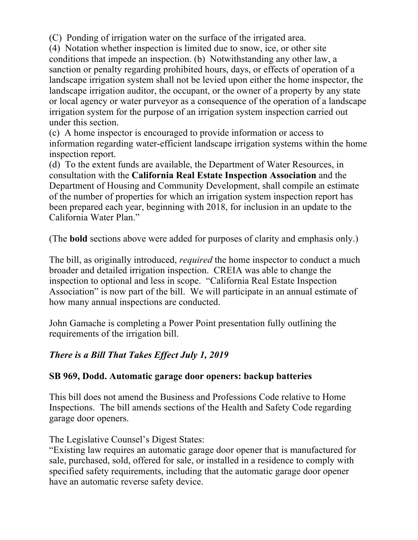(C) Ponding of irrigation water on the surface of the irrigated area.

(4) Notation whether inspection is limited due to snow, ice, or other site conditions that impede an inspection. (b) Notwithstanding any other law, a sanction or penalty regarding prohibited hours, days, or effects of operation of a landscape irrigation system shall not be levied upon either the home inspector, the landscape irrigation auditor, the occupant, or the owner of a property by any state or local agency or water purveyor as a consequence of the operation of a landscape irrigation system for the purpose of an irrigation system inspection carried out under this section.

(c) A home inspector is encouraged to provide information or access to information regarding water-efficient landscape irrigation systems within the home inspection report.

(d) To the extent funds are available, the Department of Water Resources, in consultation with the **California Real Estate Inspection Association** and the Department of Housing and Community Development, shall compile an estimate of the number of properties for which an irrigation system inspection report has been prepared each year, beginning with 2018, for inclusion in an update to the California Water Plan."

(The **bold** sections above were added for purposes of clarity and emphasis only.)

The bill, as originally introduced, *required* the home inspector to conduct a much broader and detailed irrigation inspection. CREIA was able to change the inspection to optional and less in scope. "California Real Estate Inspection Association" is now part of the bill. We will participate in an annual estimate of how many annual inspections are conducted.

John Gamache is completing a Power Point presentation fully outlining the requirements of the irrigation bill.

# *There is a Bill That Takes Effect July 1, 2019*

## **SB 969, Dodd. Automatic garage door openers: backup batteries**

This bill does not amend the Business and Professions Code relative to Home Inspections. The bill amends sections of the Health and Safety Code regarding garage door openers.

The Legislative Counsel's Digest States:

"Existing law requires an automatic garage door opener that is manufactured for sale, purchased, sold, offered for sale, or installed in a residence to comply with specified safety requirements, including that the automatic garage door opener have an automatic reverse safety device.